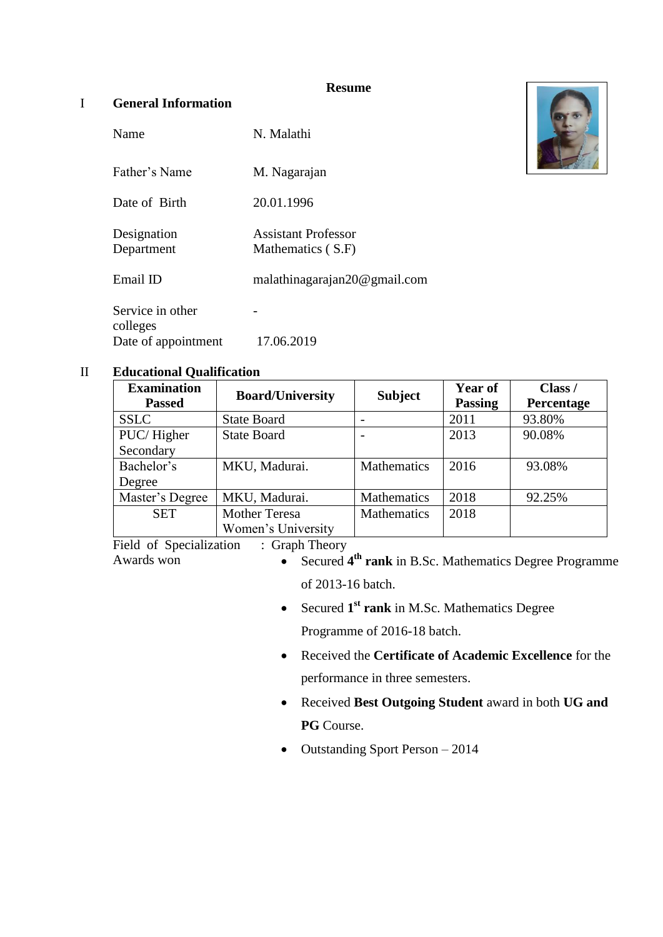#### **Resume**

## I **General Information**

| Name                         | N. Malathi                               |
|------------------------------|------------------------------------------|
| Father's Name                | M. Nagarajan                             |
| Date of Birth                | 20.01.1996                               |
| Designation<br>Department    | Assistant Professor<br>Mathematics (S.F) |
| Email ID                     | malathinagarajan20@gmail.com             |
| Service in other<br>colleges |                                          |
| Date of appointment          | 17.06.2019                               |



### II **Educational Qualification**

| <b>Examination</b><br><b>Passed</b> | <b>Board/University</b> | <b>Subject</b>     | <b>Year of</b><br><b>Passing</b> | Class /<br>Percentage |
|-------------------------------------|-------------------------|--------------------|----------------------------------|-----------------------|
| <b>SSLC</b>                         | <b>State Board</b>      |                    | 2011                             | 93.80%                |
| PUC/Higher                          | <b>State Board</b>      |                    | 2013                             | 90.08%                |
| Secondary                           |                         |                    |                                  |                       |
| Bachelor's                          | MKU, Madurai.           | Mathematics        | 2016                             | 93.08%                |
| Degree                              |                         |                    |                                  |                       |
| Master's Degree                     | MKU, Madurai.           | Mathematics        | 2018                             | 92.25%                |
| <b>SET</b>                          | <b>Mother Teresa</b>    | <b>Mathematics</b> | 2018                             |                       |
|                                     | Women's University      |                    |                                  |                       |

Field of Specialization : Graph Theory

- Awards won **•** Secured 4<sup>th</sup> rank in B.Sc. Mathematics Degree Programme of 2013-16 batch.
	- Secured 1<sup>st</sup> rank in M.Sc. Mathematics Degree Programme of 2016-18 batch.
	- Received the **Certificate of Academic Excellence** for the performance in three semesters.
	- Received **Best Outgoing Student** award in both **UG and PG** Course.
	- $\bullet$  Outstanding Sport Person  $-2014$